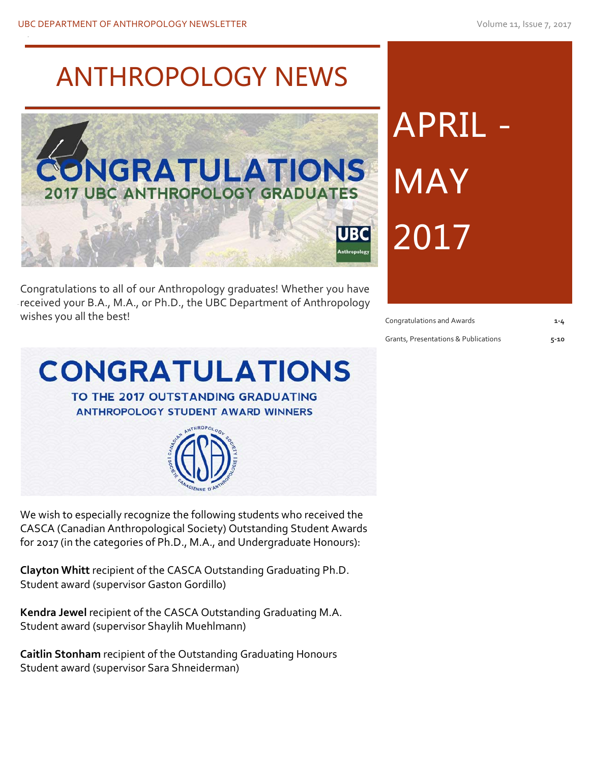# ANTHROPOLOGY NEWS



received your B.A., M.A., or Ph.D., the UBC Department of Anthropology Congratulations to all of our Anthropology graduates! Whether you have wishes you all the best!

# APRIL MAY 2017

Congratulations and Awards **1-4**

Grants, Presentations & Publications **5-10**



We wish to especially recognize the following students who received the CASCA (Canadian Anthropological Society) Outstanding Student Awards for 2017 (in the categories of Ph.D., M.A., and Undergraduate Honours):

**Clayton Whitt** recipient of the CASCA Outstanding Graduating Ph.D. Student award (supervisor Gaston Gordillo)

**Kendra Jewel** recipient of the CASCA Outstanding Graduating M.A. Student award (supervisor Shaylih Muehlmann)

**Caitlin Stonham** recipient of the Outstanding Graduating Honours Student award (supervisor Sara Shneiderman)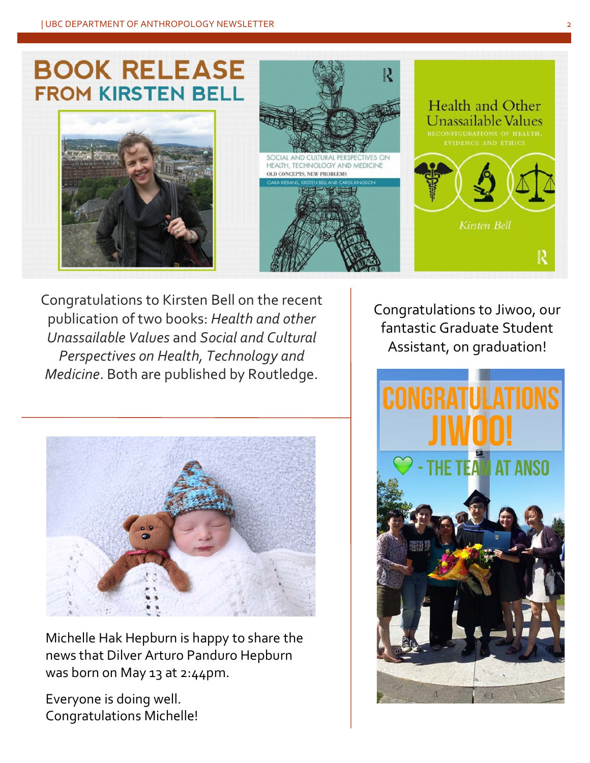## **BOOK RELEASE FROM KIRSTEN BELL**







Congratulations to Kirsten Bell on the recent publication of two books: *Health and other Unassailable Values* and *Social and Cultural Perspectives on Health, Technology and Medicine*. Both are published by Routledge.



Michelle Hak Hepburn is happy to share the news that Dilver Arturo Panduro Hepburn was born on May 13 at 2:44pm.

Everyone is doing well. Congratulations Michelle! Congratulations to Jiwoo, our fantastic Graduate Student Assistant, on graduation!

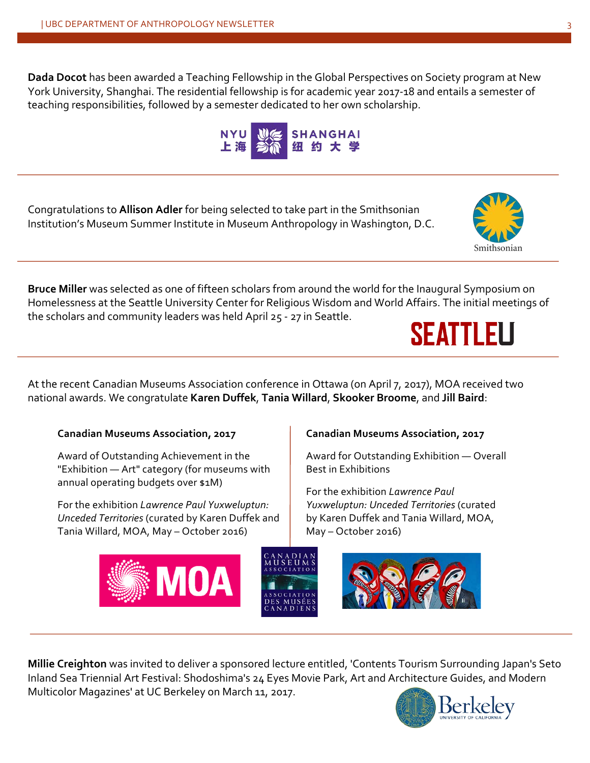**Dada Docot** has been awarded a Teaching Fellowship in the Global Perspectives on Society program at New York University, Shanghai. The residential fellowship is for academic year 2017-18 and entails a semester of teaching responsibilities, followed by a semester dedicated to her own scholarship.

**SHANGHAI** 

Congratulations to **Allison Adler** for being selected to take part in the Smithsonian Institution's Museum Summer Institute in Museum Anthropology in Washington, D.C.

**Bruce Miller** was selected as one of fifteen scholars from around the world for the Inaugural Symposium on Homelessness at the Seattle University Center for Religious Wisdom and World Affairs. The initial meetings of the scholars and community leaders was held April 25 - 27 in Seattle. **SEATTLEU** 

At the recent Canadian Museums Association conference in Ottawa (on April 7, 2017), MOA received two national awards. We congratulate **Karen Duffek**, **Tania Willard**, **Skooker Broome**, and **Jill Baird**:

#### **Canadian Museums Association, 2017**

Award of Outstanding Achievement in the "Exhibition — Art" category (for museums with annual operating budgets over \$1M)

For the exhibition *Lawrence Paul Yuxweluptun: Unceded Territories* (curated by Karen Duffek and Tania Willard, MOA, May – October 2016)

#### **Canadian Museums Association, 2017** Award for Outstanding Exhibition — Overall

Best in Exhibitions

For the exhibition *Lawrence Paul Yuxweluptun: Unceded Territories* (curated by Karen Duffek and Tania Willard, MOA, May – October 2016)

**Millie Creighton** was invited to deliver a sponsored lecture entitled, 'Contents Tourism Surrounding Japan's Seto Inland Sea Triennial Art Festival: Shodoshima's 24 Eyes Movie Park, Art and Architecture Guides, and Modern Multicolor Magazines' at UC Berkeley on March 11, 2017.**Berke** 







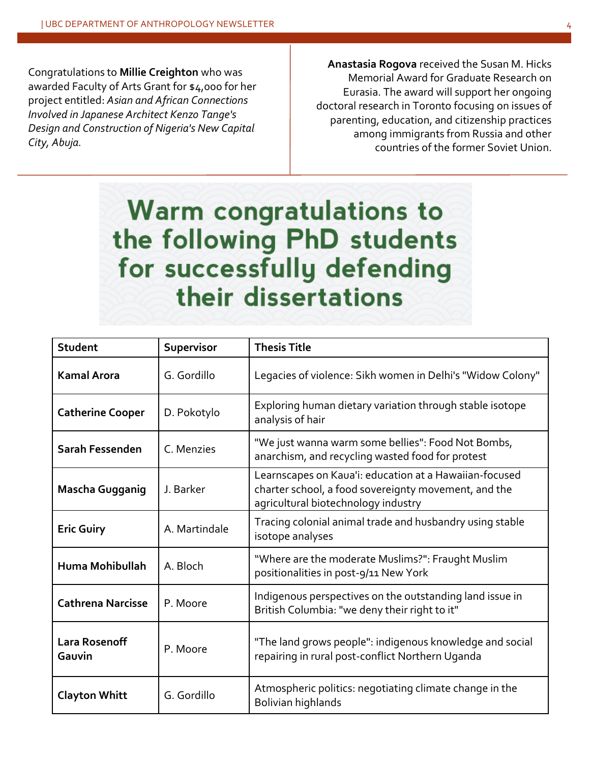Congratulations to **Millie Creighton** who was awarded Faculty of Arts Grant for \$4,000 for her project entitled: *Asian and African Connections Involved in Japanese Architect Kenzo Tange's Design and Construction of Nigeria's New Capital City, Abuja.*

**Anastasia Rogova** received the Susan M. Hicks Memorial Award for Graduate Research on Eurasia. The award will support her ongoing doctoral research in Toronto focusing on issues of parenting, education, and citizenship practices among immigrants from Russia and other countries of the former Soviet Union.

## **Warm congratulations to** the following PhD students for successfully defending their dissertations

| <b>Student</b>                 | Supervisor    | <b>Thesis Title</b>                                                                                                                                   |
|--------------------------------|---------------|-------------------------------------------------------------------------------------------------------------------------------------------------------|
| <b>Kamal Arora</b>             | G. Gordillo   | Legacies of violence: Sikh women in Delhi's "Widow Colony"                                                                                            |
| <b>Catherine Cooper</b>        | D. Pokotylo   | Exploring human dietary variation through stable isotope<br>analysis of hair                                                                          |
| Sarah Fessenden                | C. Menzies    | "We just wanna warm some bellies": Food Not Bombs,<br>anarchism, and recycling wasted food for protest                                                |
| <b>Mascha Gugganig</b>         | J. Barker     | Learnscapes on Kaua'i: education at a Hawaiian-focused<br>charter school, a food sovereignty movement, and the<br>agricultural biotechnology industry |
| <b>Eric Guiry</b>              | A. Martindale | Tracing colonial animal trade and husbandry using stable<br>isotope analyses                                                                          |
| <b>Huma Mohibullah</b>         | A. Bloch      | "Where are the moderate Muslims?": Fraught Muslim<br>positionalities in post-9/11 New York                                                            |
| <b>Cathrena Narcisse</b>       | P. Moore      | Indigenous perspectives on the outstanding land issue in<br>British Columbia: "we deny their right to it"                                             |
| <b>Lara Rosenoff</b><br>Gauvin | P. Moore      | "The land grows people": indigenous knowledge and social<br>repairing in rural post-conflict Northern Uganda                                          |
| <b>Clayton Whitt</b>           | G. Gordillo   | Atmospheric politics: negotiating climate change in the<br>Bolivian highlands                                                                         |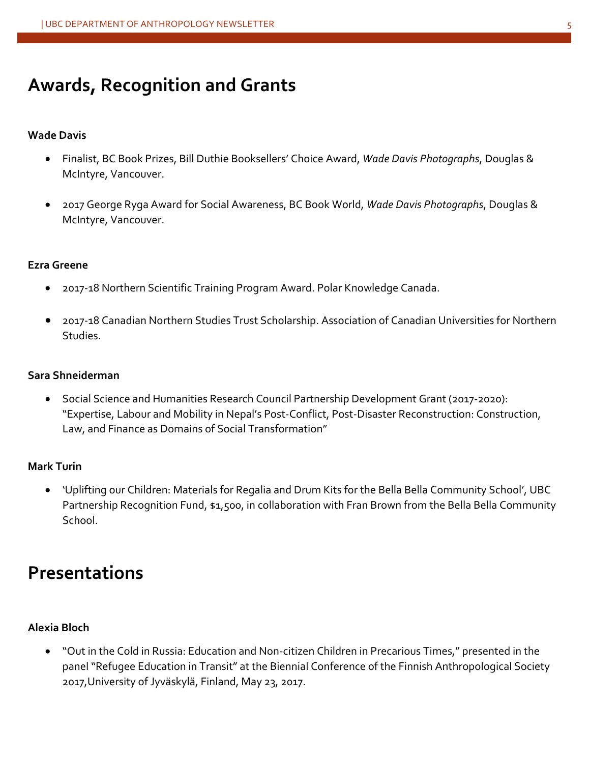## **Awards, Recognition and Grants**

#### **Wade Davis**

- Finalist, BC Book Prizes, Bill Duthie Booksellers' Choice Award, *Wade Davis Photographs*, Douglas & McIntyre, Vancouver.
- 2017 George Ryga Award for Social Awareness, BC Book World, *Wade Davis Photographs*, Douglas & McIntyre, Vancouver.

#### **Ezra Greene**

- 2017-18 Northern Scientific Training Program Award. Polar Knowledge Canada.
- 2017-18 Canadian Northern Studies Trust Scholarship. Association of Canadian Universities for Northern Studies.

#### **Sara Shneiderman**

• Social Science and Humanities Research Council Partnership Development Grant (2017-2020): "Expertise, Labour and Mobility in Nepal's Post-Conflict, Post-Disaster Reconstruction: Construction, Law, and Finance as Domains of Social Transformation"

#### **Mark Turin**

• 'Uplifting our Children: Materials for Regalia and Drum Kits for the Bella Bella Community School', UBC Partnership Recognition Fund, \$1,500, in collaboration with Fran Brown from the Bella Bella Community School.

### **Presentations**

#### **Alexia Bloch**

• "Out in the Cold in Russia: Education and Non-citizen Children in Precarious Times," presented in the panel "Refugee Education in Transit" at the Biennial Conference of the Finnish Anthropological Society 2017,University of Jyväskylä, Finland, May 23, 2017.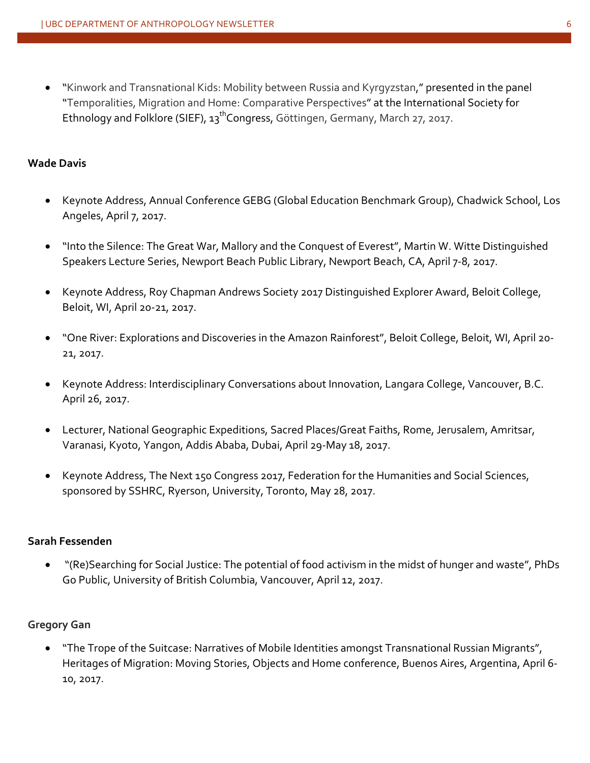• "Kinwork and Transnational Kids: Mobility between Russia and Kyrgyzstan," presented in the panel "Temporalities, Migration and Home: Comparative Perspectives" at the International Society for Ethnology and Folklore (SIEF),  $13^{th}$ Congress, Göttingen, Germany, March 27, 2017.

#### **Wade Davis**

- Keynote Address, Annual Conference GEBG (Global Education Benchmark Group), Chadwick School, Los Angeles, April 7, 2017.
- "Into the Silence: The Great War, Mallory and the Conquest of Everest", Martin W. Witte Distinguished Speakers Lecture Series, Newport Beach Public Library, Newport Beach, CA, April 7-8, 2017.
- Keynote Address, Roy Chapman Andrews Society 2017 Distinguished Explorer Award, Beloit College, Beloit, WI, April 20-21, 2017.
- "One River: Explorations and Discoveries in the Amazon Rainforest", Beloit College, Beloit, WI, April 20- 21, 2017.
- Keynote Address: Interdisciplinary Conversations about Innovation, Langara College, Vancouver, B.C. April 26, 2017.
- Lecturer, National Geographic Expeditions, Sacred Places/Great Faiths, Rome, Jerusalem, Amritsar, Varanasi, Kyoto, Yangon, Addis Ababa, Dubai, April 29-May 18, 2017.
- Keynote Address, The Next 150 Congress 2017, Federation for the Humanities and Social Sciences, sponsored by SSHRC, Ryerson, University, Toronto, May 28, 2017.

#### **Sarah Fessenden**

• "(Re)Searching for Social Justice: The potential of food activism in the midst of hunger and waste", PhDs Go Public, University of British Columbia, Vancouver, April 12, 2017.

#### **Gregory Gan**

• "The Trope of the Suitcase: Narratives of Mobile Identities amongst Transnational Russian Migrants", Heritages of Migration: Moving Stories, Objects and Home conference, Buenos Aires, Argentina, April 6- 10, 2017.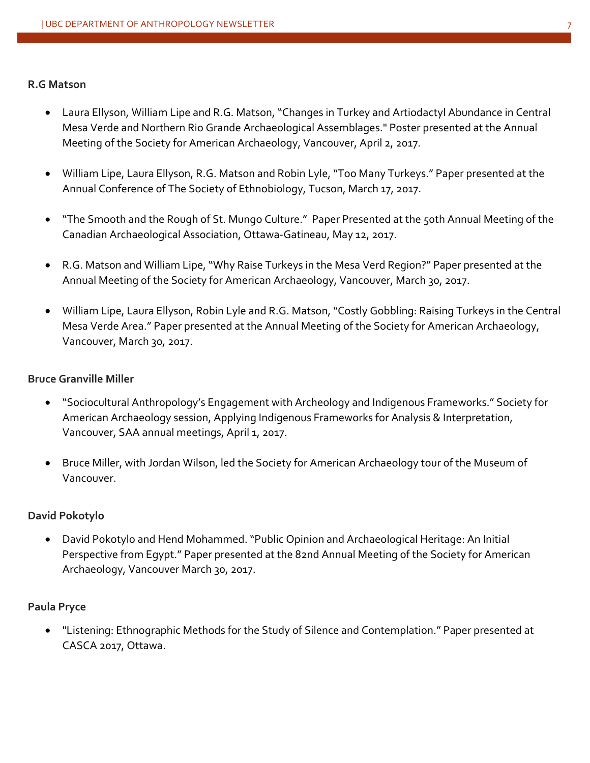#### **R.G Matson**

- Laura Ellyson, William Lipe and R.G. Matson, "Changes in Turkey and Artiodactyl Abundance in Central Mesa Verde and Northern Rio Grande Archaeological Assemblages." Poster presented at the Annual Meeting of the Society for American Archaeology, Vancouver, April 2, 2017.
- William Lipe, Laura Ellyson, R.G. Matson and Robin Lyle, "Too Many Turkeys." Paper presented at the Annual Conference of The Society of Ethnobiology, Tucson, March 17, 2017.
- "The Smooth and the Rough of St. Mungo Culture." Paper Presented at the 50th Annual Meeting of the Canadian Archaeological Association, Ottawa-Gatineau, May 12, 2017.
- R.G. Matson and William Lipe, "Why Raise Turkeys in the Mesa Verd Region?" Paper presented at the Annual Meeting of the Society for American Archaeology, Vancouver, March 30, 2017.
- William Lipe, Laura Ellyson, Robin Lyle and R.G. Matson, "Costly Gobbling: Raising Turkeys in the Central Mesa Verde Area." Paper presented at the Annual Meeting of the Society for American Archaeology, Vancouver, March 30, 2017.

#### **Bruce Granville Miller**

- "Sociocultural Anthropology's Engagement with Archeology and Indigenous Frameworks." Society for American Archaeology session, Applying Indigenous Frameworks for Analysis & Interpretation, Vancouver, SAA annual meetings, April 1, 2017.
- Bruce Miller, with Jordan Wilson, led the Society for American Archaeology tour of the Museum of Vancouver.

#### **David Pokotylo**

• David Pokotylo and Hend Mohammed. "Public Opinion and Archaeological Heritage: An Initial Perspective from Egypt." Paper presented at the 82nd Annual Meeting of the Society for American Archaeology, Vancouver March 30, 2017.

#### **Paula Pryce**

• "Listening: Ethnographic Methods for the Study of Silence and Contemplation." Paper presented at CASCA 2017, Ottawa.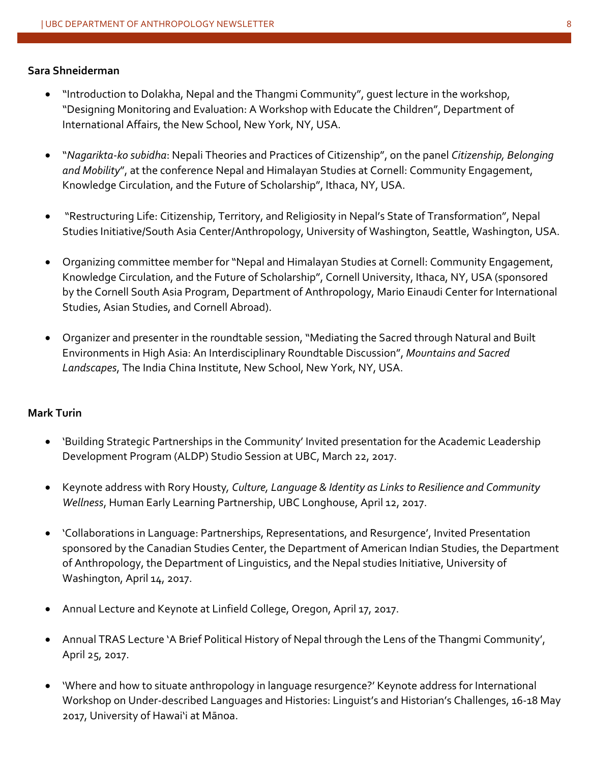#### **Sara Shneiderman**

- "Introduction to Dolakha, Nepal and the Thangmi Community", guest lecture in the workshop, "Designing Monitoring and Evaluation: A Workshop with Educate the Children", Department of International Affairs, the New School, New York, NY, USA.
- "*Nagarikta-ko subidha*: Nepali Theories and Practices of Citizenship", on the panel *Citizenship, Belonging and Mobility*", at the conference Nepal and Himalayan Studies at Cornell: Community Engagement, Knowledge Circulation, and the Future of Scholarship", Ithaca, NY, USA.
- "Restructuring Life: Citizenship, Territory, and Religiosity in Nepal's State of Transformation", Nepal Studies Initiative/South Asia Center/Anthropology, University of Washington, Seattle, Washington, USA.
- Organizing committee member for "Nepal and Himalayan Studies at Cornell: Community Engagement, Knowledge Circulation, and the Future of Scholarship", Cornell University, Ithaca, NY, USA (sponsored by the Cornell South Asia Program, Department of Anthropology, Mario Einaudi Center for International Studies, Asian Studies, and Cornell Abroad).
- Organizer and presenter in the roundtable session, "Mediating the Sacred through Natural and Built Environments in High Asia: An Interdisciplinary Roundtable Discussion", *Mountains and Sacred Landscapes*, The India China Institute, New School, New York, NY, USA.

#### **Mark Turin**

- 'Building Strategic Partnerships in the Community' Invited presentation for the Academic Leadership Development Program (ALDP) Studio Session at UBC, March 22, 2017.
- Keynote address with Rory Housty*, Culture, Language & Identity as Links to Resilience and Community Wellness*, Human Early Learning Partnership, UBC Longhouse, April 12, 2017.
- 'Collaborations in Language: Partnerships, Representations, and Resurgence', Invited Presentation sponsored by the Canadian Studies Center, the Department of American Indian Studies, the Department of Anthropology, the Department of Linguistics, and the Nepal studies Initiative, University of Washington, April 14, 2017.
- Annual Lecture and Keynote at Linfield College, Oregon, April 17, 2017.
- Annual TRAS Lecture 'A Brief Political History of Nepal through the Lens of the Thangmi Community', April 25, 2017.
- 'Where and how to situate anthropology in language resurgence?' Keynote address for International Workshop on Under-described Languages and Histories: Linguist's and Historian's Challenges, 16-18 May 2017, University of Hawai'i at Mānoa.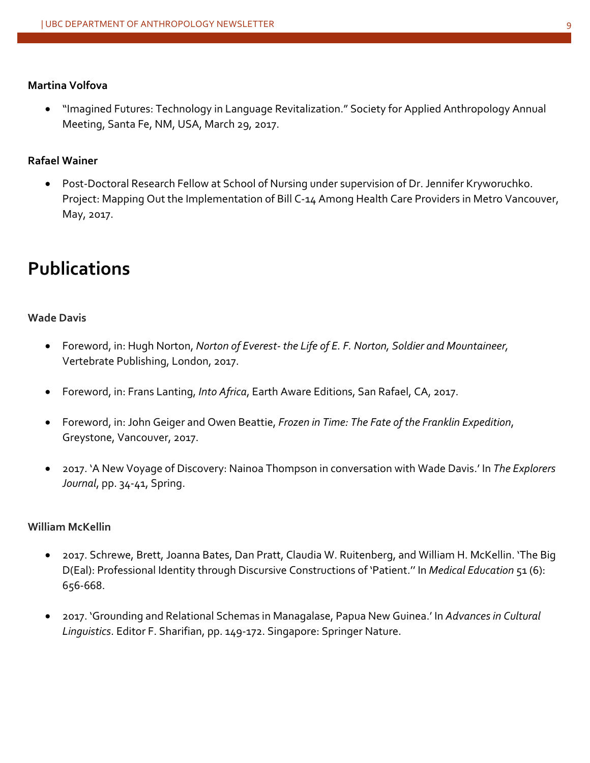#### **Martina Volfova**

• "Imagined Futures: Technology in Language Revitalization." Society for Applied Anthropology Annual Meeting, Santa Fe, NM, USA, March 29, 2017.

#### **Rafael Wainer**

• Post-Doctoral Research Fellow at School of Nursing under supervision of Dr. Jennifer Kryworuchko. Project: Mapping Out the Implementation of Bill C-14 Among Health Care Providers in Metro Vancouver, May, 2017.

## **Publications**

#### **Wade Davis**

- Foreword, in: Hugh Norton, *Norton of Everest- the Life of E. F. Norton, Soldier and Mountaineer,* Vertebrate Publishing, London, 2017.
- Foreword, in: Frans Lanting, *Into Africa*, Earth Aware Editions, San Rafael, CA, 2017.
- Foreword, in: John Geiger and Owen Beattie, *Frozen in Time: The Fate of the Franklin Expedition*, Greystone, Vancouver, 2017.
- 2017. 'A New Voyage of Discovery: Nainoa Thompson in conversation with Wade Davis.' In *The Explorers Journal*, pp. 34-41, Spring.

#### **William McKellin**

- 2017. Schrewe, Brett, Joanna Bates, Dan Pratt, Claudia W. Ruitenberg, and William H. McKellin. 'The Big D(Eal): Professional Identity through Discursive Constructions of 'Patient.'' In *Medical Education* 51 (6): 656-668.
- 2017. 'Grounding and Relational Schemas in Managalase, Papua New Guinea.' In *Advances in Cultural Linguistics*. Editor F. Sharifian, pp. 149-172. Singapore: Springer Nature.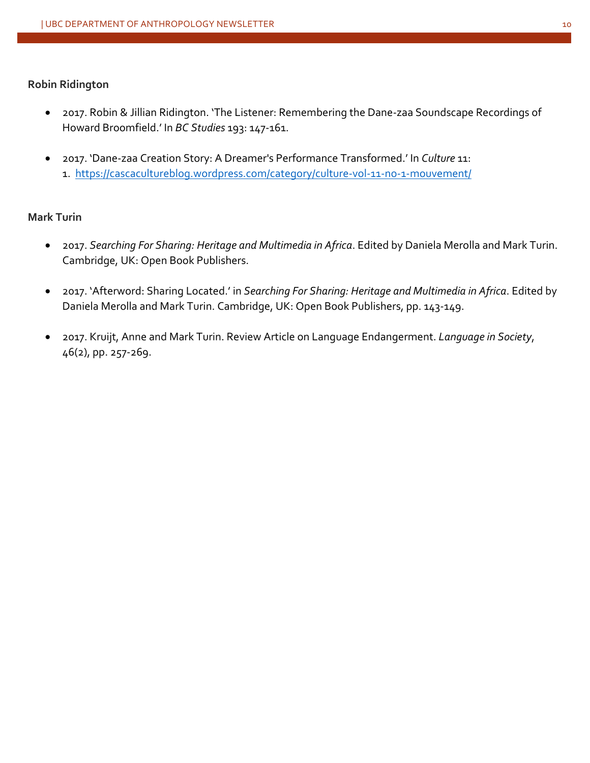#### **Robin Ridington**

- 2017. Robin & Jillian Ridington. 'The Listener: Remembering the Dane-zaa Soundscape Recordings of Howard Broomfield.' In *BC Studies* 193: 147-161.
- 2017. 'Dane-zaa Creation Story: A Dreamer's Performance Transformed.' In *Culture* 11: 1. https://cascacultureblog.wordpress.com/category/culture-vol-11-no-1-mouvement/

#### **Mark Turin**

- 2017. *Searching For Sharing: Heritage and Multimedia in Africa*. Edited by Daniela Merolla and Mark Turin. Cambridge, UK: Open Book Publishers.
- 2017. 'Afterword: Sharing Located.' in *Searching For Sharing: Heritage and Multimedia in Africa*. Edited by Daniela Merolla and Mark Turin. Cambridge, UK: Open Book Publishers, pp. 143-149.
- 2017. Kruijt, Anne and Mark Turin. Review Article on Language Endangerment. *Language in Society*, 46(2), pp. 257-269.